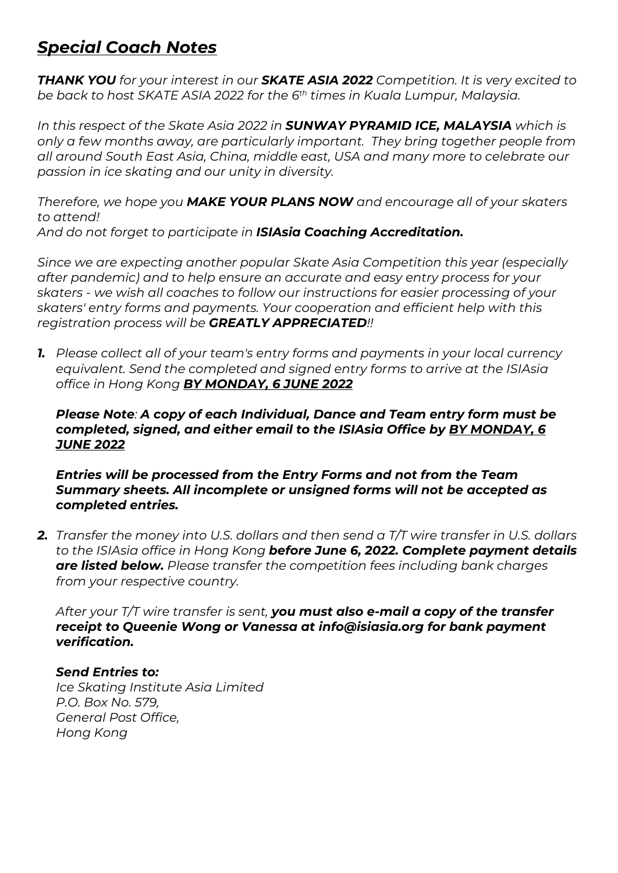# *Special Coach Notes*

*THANK YOU for your interest in our SKATE ASIA 2022 Competition. It is very excited to be back to host SKATE ASIA 2022 for the 6th times in Kuala Lumpur, Malaysia.*

*In this respect of the Skate Asia 2022 in SUNWAY PYRAMID ICE, MALAYSIA which is only a few months away, are particularly important. They bring together people from all around South East Asia, China, middle east, USA and many more to celebrate our passion in ice skating and our unity in diversity.*

*Therefore, we hope you MAKE YOUR PLANS NOW and encourage all of your skaters to attend! And do not forget to participate in ISIAsia Coaching Accreditation.*

*Since we are expecting another popular Skate Asia Competition this year (especially after pandemic) and to help ensure an accurate and easy entry process for your skaters - we wish all coaches to follow our instructions for easier processing of your skaters' entry forms and payments. Your cooperation and efficient help with this registration process will be GREATLY APPRECIATED!!* 

*1. Please collect all of your team's entry forms and payments in your local currency equivalent. Send the completed and signed entry forms to arrive at the ISIAsia office in Hong Kong BY MONDAY, 6 JUNE 2022*

#### *Please Note: A copy of each Individual, Dance and Team entry form must be completed, signed, and either email to the ISIAsia Office by BY MONDAY, 6 JUNE 2022*

*Entries will be processed from the Entry Forms and not from the Team Summary sheets. All incomplete or unsigned forms will not be accepted as completed entries.* 

*2. Transfer the money into U.S. dollars and then send a T/T wire transfer in U.S. dollars to the ISIAsia office in Hong Kong before June 6, 2022. Complete payment details are listed below. Please transfer the competition fees including bank charges from your respective country.*

*After your T/T wire transfer is sent, you must also e-mail a copy of the transfer receipt to Queenie Wong or Vanessa at info@isiasia.org for bank payment verification.* 

### *Send Entries to:*

*Ice Skating Institute Asia Limited P.O. Box No. 579, General Post Office, Hong Kong*